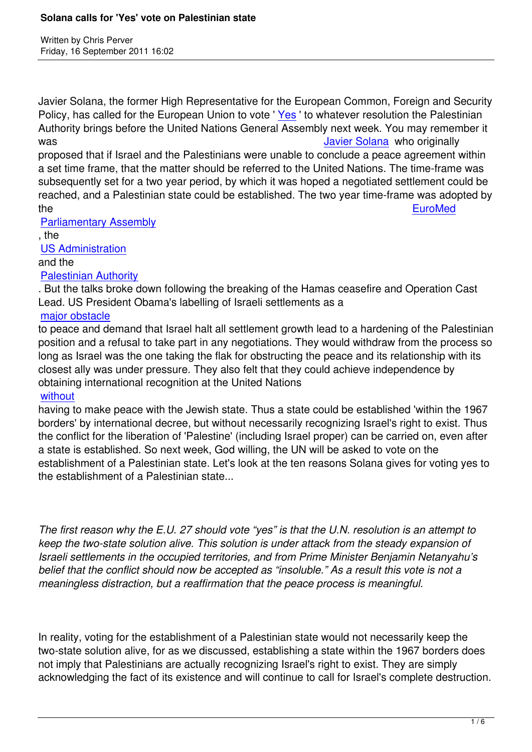Written by Christian by Christian by Christian by Christian by Christian by Christian by Chris Perus

Javier Solana, the former High Representative for the European Common, Foreign and Security Policy, has called for the European Union to vote 'Yes' to whatever resolution the Palestinian Authority brings before the United Nations General Assembly next week. You may remember it was **Vancouver and Contract Contract Contract Contract Contract Contract Contract Contract Contract Contract Contract Contract Contract Contract Contract Contract Contract Contract Contract Contract Contract Contract Contr** 

proposed that if Israel and the Palestinians were u[nable](http://www.nytimes.com/2011/09/17/opinion/17iht-edahtisaari17.html) to conclude a peace agreement within a set time frame, that the matter should be referred to the United Nations. The time-frame was subsequently set for a two year period, by which it was hope[d a negotiated](https://www.prophecynews.co.uk/index.php?option=com_content&id=1261/2/) settlement could be reached, and a Palestinian state could be established. The two year time-frame was adopted by the EuroMed EuroMed is a state of the energy of the energy of the energy  $\sim$  EuroMed is a state of the energy of the energy  $\sim$ 

Parliamentary Assembly

, the

US Administration

# [and the](https://www.prophecynews.co.uk/index.php?option=com_content&id=1434/2/)

#### Palestinian Authority

[. But the talks brok](https://www.prophecynews.co.uk/index.php?option=com_content&id=1213/2/)e down following the breaking of the Hamas ceasefire and Operation Cast Lead. US President Obama's labelling of Israeli settlements as a

## [major obstacle](https://www.prophecynews.co.uk/index.php?option=com_content&id=1360/2/)

to peace and demand that Israel halt all settlement growth lead to a hardening of the Palestinian position and a refusal to take part in any negotiations. They would withdraw from the process so [long as Israel w](https://www.prophecynews.co.uk/index.php?option=com_content&id=1213/2/)as the one taking the flak for obstructing the peace and its relationship with its closest ally was under pressure. They also felt that they could achieve independence by obtaining international recognition at the United Nations

### without

having to make peace with the Jewish state. Thus a state could be established 'within the 1967 borders' by international decree, but without necessarily recognizing Israel's right to exist. Thus [the conf](https://www.prophecynews.co.uk/index.php?option=com_content&id=1403/2/)lict for the liberation of 'Palestine' (including Israel proper) can be carried on, even after a state is established. So next week, God willing, the UN will be asked to vote on the establishment of a Palestinian state. Let's look at the ten reasons Solana gives for voting yes to the establishment of a Palestinian state...

*The first reason why the E.U. 27 should vote "yes" is that the U.N. resolution is an attempt to keep the two-state solution alive. This solution is under attack from the steady expansion of Israeli settlements in the occupied territories, and from Prime Minister Benjamin Netanyahu's belief that the conflict should now be accepted as "insoluble." As a result this vote is not a meaningless distraction, but a reaffirmation that the peace process is meaningful.*

In reality, voting for the establishment of a Palestinian state would not necessarily keep the two-state solution alive, for as we discussed, establishing a state within the 1967 borders does not imply that Palestinians are actually recognizing Israel's right to exist. They are simply acknowledging the fact of its existence and will continue to call for Israel's complete destruction.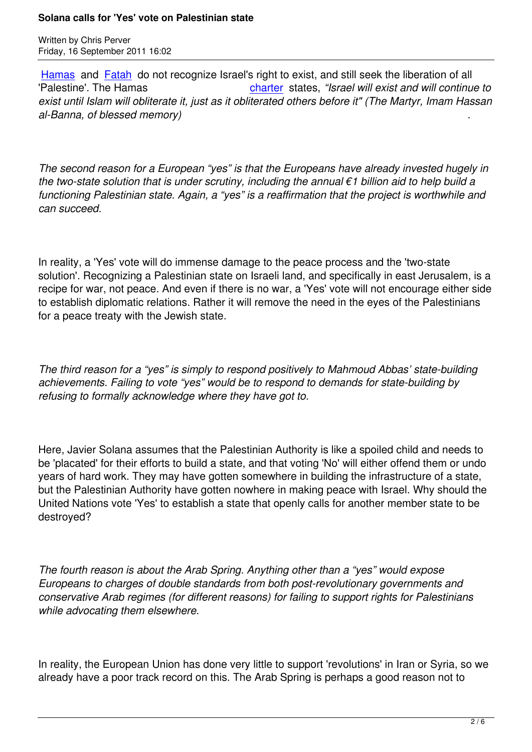Written by Christian by Christian by Christian by Christian by Christian by Christian by Christian by Christian

Hamas and Fatah do not recognize Israel's right to exist, and still seek the liberation of all 'Palestine'. The Hamas charter states, *"Israel will exist and will continue to exist until Islam will obliterate it, just as it obliterated others before it" (The Martyr, Imam Hassan [al-Bann](https://www.prophecynews.co.uk/index.php?option=com_content&id=532/2/)a, of [blessed](https://www.prophecynews.co.uk/index.php?option=com_content&id=1188/2/) memory)* .

*The second reason for a European "yes" is that the Europeans have already invested hugely in the two-state solution that is under scrutiny, including the annual €1 billion aid to help build a functioning Palestinian state. Again, a "yes" is a reaffirmation that the project is worthwhile and can succeed.*

In reality, a 'Yes' vote will do immense damage to the peace process and the 'two-state solution'. Recognizing a Palestinian state on Israeli land, and specifically in east Jerusalem, is a recipe for war, not peace. And even if there is no war, a 'Yes' vote will not encourage either side to establish diplomatic relations. Rather it will remove the need in the eyes of the Palestinians for a peace treaty with the Jewish state.

*The third reason for a "yes" is simply to respond positively to Mahmoud Abbas' state-building achievements. Failing to vote "yes" would be to respond to demands for state-building by refusing to formally acknowledge where they have got to.*

Here, Javier Solana assumes that the Palestinian Authority is like a spoiled child and needs to be 'placated' for their efforts to build a state, and that voting 'No' will either offend them or undo years of hard work. They may have gotten somewhere in building the infrastructure of a state, but the Palestinian Authority have gotten nowhere in making peace with Israel. Why should the United Nations vote 'Yes' to establish a state that openly calls for another member state to be destroyed?

*The fourth reason is about the Arab Spring. Anything other than a "yes" would expose Europeans to charges of double standards from both post-revolutionary governments and conservative Arab regimes (for different reasons) for failing to support rights for Palestinians while advocating them elsewhere.*

In reality, the European Union has done very little to support 'revolutions' in Iran or Syria, so we already have a poor track record on this. The Arab Spring is perhaps a good reason not to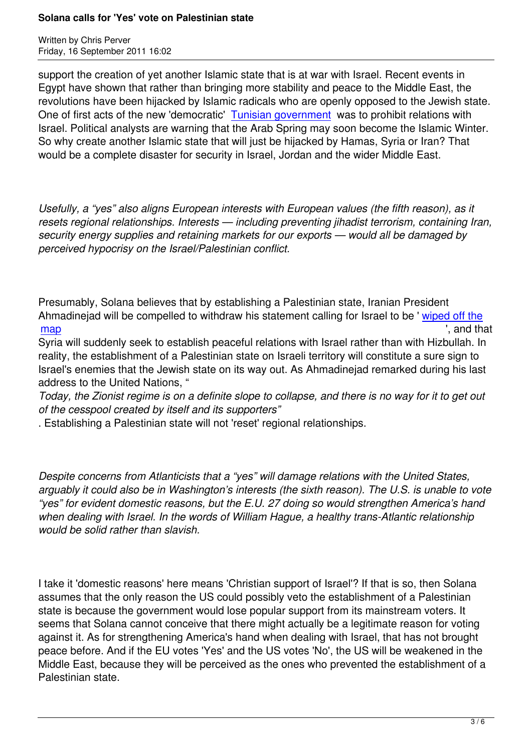support the creation of yet another Islamic state that is at war with Israel. Recent events in Egypt have shown that rather than bringing more stability and peace to the Middle East, the revolutions have been hijacked by Islamic radicals who are openly opposed to the Jewish state. One of first acts of the new 'democratic' Tunisian government was to prohibit relations with Israel. Political analysts are warning that the Arab Spring may soon become the Islamic Winter. So why create another Islamic state that will just be hijacked by Hamas, Syria or Iran? That would be a complete disaster for securit[y in Israel, Jordan and](https://www.prophecynews.co.uk/index.php?option=com_content&id=1723/2/) the wider Middle East.

*Usefully, a "yes" also aligns European interests with European values (the fifth reason), as it resets regional relationships. Interests — including preventing jihadist terrorism, containing Iran, security energy supplies and retaining markets for our exports — would all be damaged by perceived hypocrisy on the Israel/Palestinian conflict.*

Presumably, Solana believes that by establishing a Palestinian state, Iranian President Ahmadinejad will be compelled to withdraw his statement calling for Israel to be ' wiped off the  $\overline{\text{map}}$  , and that

Syria will suddenly seek to establish peaceful relations with Israel rather than with Hizbullah. In reality, the establishment of a Palestinian state on Israeli territory will constitute a [sure sign to](https://www.prophecynews.co.uk/index.php?option=com_content&id=1004/2/) [Israe](https://www.prophecynews.co.uk/index.php?option=com_content&id=1004/2/)l's enemies that the Jewish state on its way out. As Ahmadinejad remarked during his last address to the United Nations, "

*Today, the Zionist regime is on a definite slope to collapse, and there is no way for it to get out of the cesspool created by itself and its supporters"*

. Establishing a Palestinian state will not 'reset' regional relationships.

*Despite concerns from Atlanticists that a "yes" will damage relations with the United States, arguably it could also be in Washington's interests (the sixth reason). The U.S. is unable to vote "yes" for evident domestic reasons, but the E.U. 27 doing so would strengthen America's hand when dealing with Israel. In the words of William Hague, a healthy trans-Atlantic relationship would be solid rather than slavish.*

I take it 'domestic reasons' here means 'Christian support of Israel'? If that is so, then Solana assumes that the only reason the US could possibly veto the establishment of a Palestinian state is because the government would lose popular support from its mainstream voters. It seems that Solana cannot conceive that there might actually be a legitimate reason for voting against it. As for strengthening America's hand when dealing with Israel, that has not brought peace before. And if the EU votes 'Yes' and the US votes 'No', the US will be weakened in the Middle East, because they will be perceived as the ones who prevented the establishment of a Palestinian state.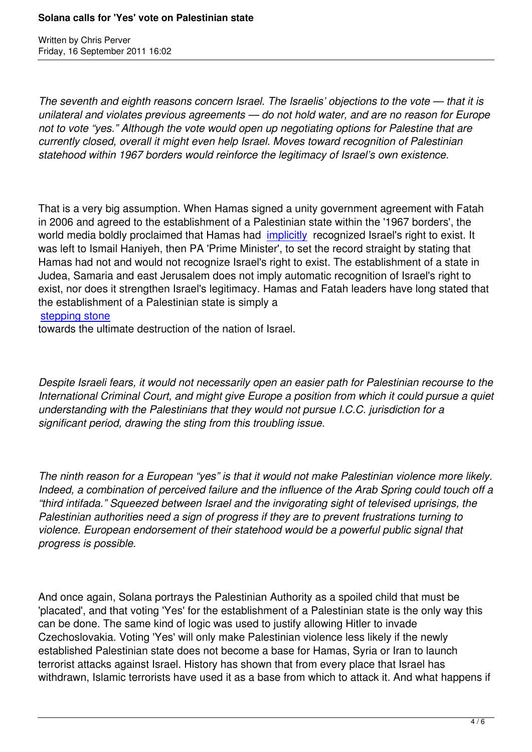Written by Christian by Christian by Christian by Christian by Christian by Christian by Christian by Christian

*The seventh and eighth reasons concern Israel. The Israelis' objections to the vote — that it is unilateral and violates previous agreements — do not hold water, and are no reason for Europe not to vote "yes." Although the vote would open up negotiating options for Palestine that are currently closed, overall it might even help Israel. Moves toward recognition of Palestinian statehood within 1967 borders would reinforce the legitimacy of Israel's own existence.*

That is a very big assumption. When Hamas signed a unity government agreement with Fatah in 2006 and agreed to the establishment of a Palestinian state within the '1967 borders', the world media boldly proclaimed that Hamas had implicitly recognized Israel's right to exist. It was left to Ismail Haniyeh, then PA 'Prime Minister', to set the record straight by stating that Hamas had not and would not recognize Israel's right to exist. The establishment of a state in Judea, Samaria and east Jerusalem does not i[mply autom](aug06.html#8-17-2)atic recognition of Israel's right to exist, nor does it strengthen Israel's legitimacy. Hamas and Fatah leaders have long stated that the establishment of a Palestinian state is simply a

stepping stone

towards the ultimate destruction of the nation of Israel.

*Despite Israeli fears, it would not necessarily open an easier path for Palestinian recourse to the International Criminal Court, and might give Europe a position from which it could pursue a quiet understanding with the Palestinians that they would not pursue I.C.C. jurisdiction for a significant period, drawing the sting from this troubling issue.*

*The ninth reason for a European "yes" is that it would not make Palestinian violence more likely. Indeed, a combination of perceived failure and the influence of the Arab Spring could touch off a "third intifada." Squeezed between Israel and the invigorating sight of televised uprisings, the Palestinian authorities need a sign of progress if they are to prevent frustrations turning to violence. European endorsement of their statehood would be a powerful public signal that progress is possible.*

And once again, Solana portrays the Palestinian Authority as a spoiled child that must be 'placated', and that voting 'Yes' for the establishment of a Palestinian state is the only way this can be done. The same kind of logic was used to justify allowing Hitler to invade Czechoslovakia. Voting 'Yes' will only make Palestinian violence less likely if the newly established Palestinian state does not become a base for Hamas, Syria or Iran to launch terrorist attacks against Israel. History has shown that from every place that Israel has withdrawn, Islamic terrorists have used it as a base from which to attack it. And what happens if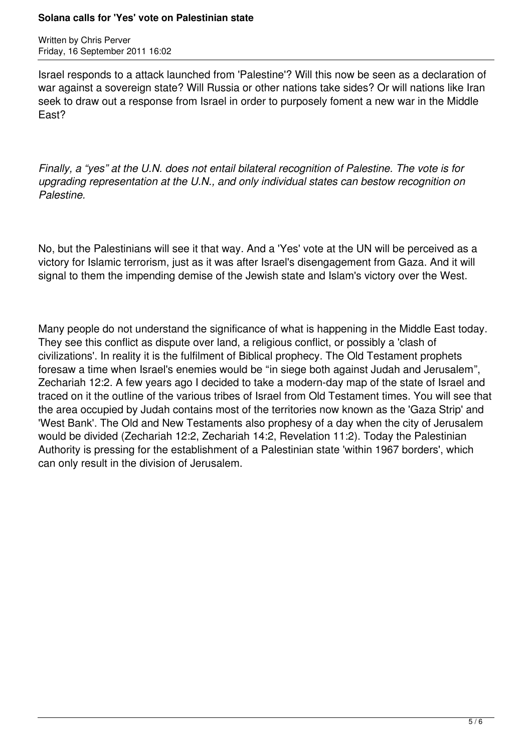#### **Solana calls for 'Yes' vote on Palestinian state**

Written by Chris Perver Friday, 16 September 2011 16:02

Israel responds to a attack launched from 'Palestine'? Will this now be seen as a declaration of war against a sovereign state? Will Russia or other nations take sides? Or will nations like Iran seek to draw out a response from Israel in order to purposely foment a new war in the Middle East?

*Finally, a "yes" at the U.N. does not entail bilateral recognition of Palestine. The vote is for upgrading representation at the U.N., and only individual states can bestow recognition on Palestine.* 

No, but the Palestinians will see it that way. And a 'Yes' vote at the UN will be perceived as a victory for Islamic terrorism, just as it was after Israel's disengagement from Gaza. And it will signal to them the impending demise of the Jewish state and Islam's victory over the West.

Many people do not understand the significance of what is happening in the Middle East today. They see this conflict as dispute over land, a religious conflict, or possibly a 'clash of civilizations'. In reality it is the fulfilment of Biblical prophecy. The Old Testament prophets foresaw a time when Israel's enemies would be "in siege both against Judah and Jerusalem", Zechariah 12:2. A few years ago I decided to take a modern-day map of the state of Israel and traced on it the outline of the various tribes of Israel from Old Testament times. You will see that the area occupied by Judah contains most of the territories now known as the 'Gaza Strip' and 'West Bank'. The Old and New Testaments also prophesy of a day when the city of Jerusalem would be divided (Zechariah 12:2, Zechariah 14:2, Revelation 11:2). Today the Palestinian Authority is pressing for the establishment of a Palestinian state 'within 1967 borders', which can only result in the division of Jerusalem.